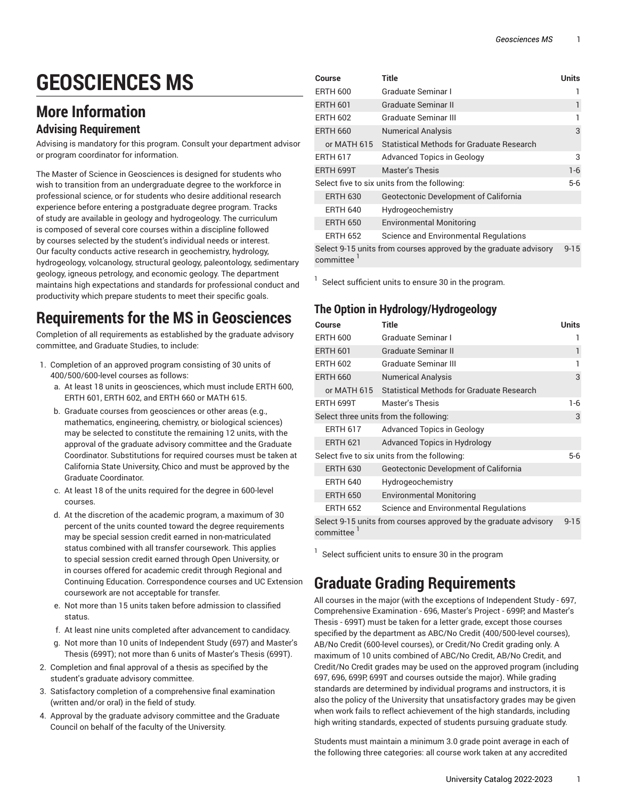# **GEOSCIENCES MS**

# **More Information**

#### **Advising Requirement**

Advising is mandatory for this program. Consult your department advisor or program coordinator for information.

The Master of Science in Geosciences is designed for students who wish to transition from an undergraduate degree to the workforce in professional science, or for students who desire additional research experience before entering a postgraduate degree program. Tracks of study are available in geology and hydrogeology. The curriculum is composed of several core courses within a discipline followed by courses selected by the student's individual needs or interest. Our faculty conducts active research in geochemistry, hydrology, hydrogeology, volcanology, structural geology, paleontology, sedimentary geology, igneous petrology, and economic geology. The department maintains high expectations and standards for professional conduct and productivity which prepare students to meet their specific goals.

# **Requirements for the MS in Geosciences**

Completion of all requirements as established by the graduate advisory committee, and Graduate Studies, to include:

- 1. Completion of an approved program consisting of 30 units of 400/500/600-level courses as follows:
	- a. At least 18 units in geosciences, which must include ERTH 600, ERTH 601, ERTH 602, and ERTH 660 or MATH 615.
	- b. Graduate courses from geosciences or other areas (e.g., mathematics, engineering, chemistry, or biological sciences) may be selected to constitute the remaining 12 units, with the approval of the graduate advisory committee and the Graduate Coordinator. Substitutions for required courses must be taken at California State University, Chico and must be approved by the Graduate Coordinator.
	- c. At least 18 of the units required for the degree in 600-level courses.
	- d. At the discretion of the academic program, a maximum of 30 percent of the units counted toward the degree requirements may be special session credit earned in non-matriculated status combined with all transfer coursework. This applies to special session credit earned through Open University, or in courses offered for academic credit through Regional and Continuing Education. Correspondence courses and UC Extension coursework are not acceptable for transfer.
	- e. Not more than 15 units taken before admission to classified status.
	- f. At least nine units completed after advancement to candidacy.
	- g. Not more than 10 units of Independent Study (697) and Master's Thesis (699T); not more than 6 units of Master's Thesis (699T).
- 2. Completion and final approval of a thesis as specified by the student's graduate advisory committee.
- 3. Satisfactory completion of a comprehensive final examination (written and/or oral) in the field of study.
- 4. Approval by the graduate advisory committee and the Graduate Council on behalf of the faculty of the University.

| Course                                                                        | Title                                     | Units |
|-------------------------------------------------------------------------------|-------------------------------------------|-------|
| <b>ERTH 600</b>                                                               | Graduate Seminar I                        |       |
| <b>ERTH 601</b>                                                               | Graduate Seminar II                       |       |
| <b>ERTH 602</b>                                                               | Graduate Seminar III                      |       |
| <b>ERTH 660</b>                                                               | <b>Numerical Analysis</b>                 | 3     |
| or MATH 615                                                                   | Statistical Methods for Graduate Research |       |
| <b>ERTH 617</b>                                                               | <b>Advanced Topics in Geology</b>         | 3     |
| ERTH 699T                                                                     | <b>Master's Thesis</b>                    | $1-6$ |
| Select five to six units from the following:                                  |                                           |       |
| <b>ERTH 630</b>                                                               | Geotectonic Development of California     |       |
| <b>ERTH 640</b>                                                               | Hydrogeochemistry                         |       |
| <b>ERTH 650</b>                                                               | <b>Environmental Monitoring</b>           |       |
| <b>ERTH 652</b>                                                               | Science and Environmental Regulations     |       |
| Select 9-15 units from courses approved by the graduate advisory<br>committee |                                           |       |

 $1$  Select sufficient units to ensure 30 in the program.

#### **The Option in Hydrology/Hydrogeology**

| Course                                                                        | <b>Title</b>                                     | <b>Units</b> |
|-------------------------------------------------------------------------------|--------------------------------------------------|--------------|
| <b>ERTH 600</b>                                                               | Graduate Seminar I                               |              |
| <b>ERTH 601</b>                                                               | <b>Graduate Seminar II</b>                       | 1            |
| <b>ERTH 602</b>                                                               | Graduate Seminar III                             |              |
| <b>ERTH 660</b>                                                               | <b>Numerical Analysis</b>                        | 3            |
| or MATH 615                                                                   | <b>Statistical Methods for Graduate Research</b> |              |
| <b>ERTH 699T</b>                                                              | Master's Thesis                                  | $1-6$        |
| Select three units from the following:                                        |                                                  |              |
| <b>ERTH 617</b>                                                               | <b>Advanced Topics in Geology</b>                |              |
| <b>ERTH 621</b>                                                               | Advanced Topics in Hydrology                     |              |
| Select five to six units from the following:                                  |                                                  |              |
| <b>ERTH 630</b>                                                               | Geotectonic Development of California            |              |
| <b>ERTH 640</b>                                                               | Hydrogeochemistry                                |              |
| <b>ERTH 650</b>                                                               | <b>Environmental Monitoring</b>                  |              |
| <b>ERTH 652</b>                                                               | Science and Environmental Regulations            |              |
| Select 9-15 units from courses approved by the graduate advisory<br>committee |                                                  |              |

 $1$  Select sufficient units to ensure 30 in the program

## **Graduate Grading Requirements**

All courses in the major (with the exceptions of Independent Study - 697, Comprehensive Examination - 696, Master's Project - 699P, and Master's Thesis - 699T) must be taken for a letter grade, except those courses specified by the department as ABC/No Credit (400/500-level courses), AB/No Credit (600-level courses), or Credit/No Credit grading only. A maximum of 10 units combined of ABC/No Credit, AB/No Credit, and Credit/No Credit grades may be used on the approved program (including 697, 696, 699P, 699T and courses outside the major). While grading standards are determined by individual programs and instructors, it is also the policy of the University that unsatisfactory grades may be given when work fails to reflect achievement of the high standards, including high writing standards, expected of students pursuing graduate study.

Students must maintain a minimum 3.0 grade point average in each of the following three categories: all course work taken at any accredited